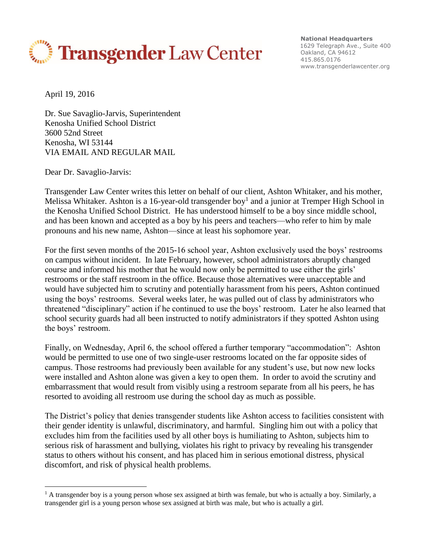

**National Headquarters** 1629 Telegraph Ave., Suite 400 Oakland, CA 94612 415.865.0176 www.transgenderlawcenter.org

April 19, 2016

<u>.</u>

Dr. Sue Savaglio-Jarvis, Superintendent Kenosha Unified School District 3600 52nd Street Kenosha, WI 53144 VIA EMAIL AND REGULAR MAIL

Dear Dr. Savaglio-Jarvis:

Transgender Law Center writes this letter on behalf of our client, Ashton Whitaker, and his mother, Melissa Whitaker. Ashton is a 16-year-old transgender boy<sup>1</sup> and a junior at Tremper High School in the Kenosha Unified School District. He has understood himself to be a boy since middle school, and has been known and accepted as a boy by his peers and teachers—who refer to him by male pronouns and his new name, Ashton—since at least his sophomore year.

For the first seven months of the 2015-16 school year, Ashton exclusively used the boys' restrooms on campus without incident. In late February, however, school administrators abruptly changed course and informed his mother that he would now only be permitted to use either the girls' restrooms or the staff restroom in the office. Because those alternatives were unacceptable and would have subjected him to scrutiny and potentially harassment from his peers, Ashton continued using the boys' restrooms. Several weeks later, he was pulled out of class by administrators who threatened "disciplinary" action if he continued to use the boys' restroom. Later he also learned that school security guards had all been instructed to notify administrators if they spotted Ashton using the boys' restroom.

Finally, on Wednesday, April 6, the school offered a further temporary "accommodation": Ashton would be permitted to use one of two single-user restrooms located on the far opposite sides of campus. Those restrooms had previously been available for any student's use, but now new locks were installed and Ashton alone was given a key to open them. In order to avoid the scrutiny and embarrassment that would result from visibly using a restroom separate from all his peers, he has resorted to avoiding all restroom use during the school day as much as possible.

The District's policy that denies transgender students like Ashton access to facilities consistent with their gender identity is unlawful, discriminatory, and harmful. Singling him out with a policy that excludes him from the facilities used by all other boys is humiliating to Ashton, subjects him to serious risk of harassment and bullying, violates his right to privacy by revealing his transgender status to others without his consent, and has placed him in serious emotional distress, physical discomfort, and risk of physical health problems.

 $1$  A transgender boy is a young person whose sex assigned at birth was female, but who is actually a boy. Similarly, a transgender girl is a young person whose sex assigned at birth was male, but who is actually a girl.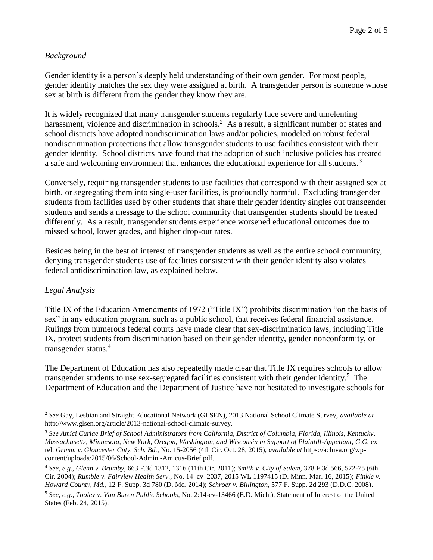## *Background*

Gender identity is a person's deeply held understanding of their own gender. For most people, gender identity matches the sex they were assigned at birth. A transgender person is someone whose sex at birth is different from the gender they know they are.

It is widely recognized that many transgender students regularly face severe and unrelenting harassment, violence and discrimination in schools.<sup>2</sup> As a result, a significant number of states and school districts have adopted nondiscrimination laws and/or policies, modeled on robust federal nondiscrimination protections that allow transgender students to use facilities consistent with their gender identity. School districts have found that the adoption of such inclusive policies has created a safe and welcoming environment that enhances the educational experience for all students.<sup>3</sup>

Conversely, requiring transgender students to use facilities that correspond with their assigned sex at birth, or segregating them into single-user facilities, is profoundly harmful. Excluding transgender students from facilities used by other students that share their gender identity singles out transgender students and sends a message to the school community that transgender students should be treated differently. As a result, transgender students experience worsened educational outcomes due to missed school, lower grades, and higher drop-out rates.

Besides being in the best of interest of transgender students as well as the entire school community, denying transgender students use of facilities consistent with their gender identity also violates federal antidiscrimination law, as explained below.

## *Legal Analysis*

Title IX of the Education Amendments of 1972 ("Title IX") prohibits discrimination "on the basis of sex" in any education program, such as a public school, that receives federal financial assistance. Rulings from numerous federal courts have made clear that sex-discrimination laws, including Title IX, protect students from discrimination based on their gender identity, gender nonconformity, or transgender status.<sup>4</sup>

The Department of Education has also repeatedly made clear that Title IX requires schools to allow transgender students to use sex-segregated facilities consistent with their gender identity.<sup>5</sup> The Department of Education and the Department of Justice have not hesitated to investigate schools for

<sup>&</sup>lt;u>.</u> <sup>2</sup> *See* Gay, Lesbian and Straight Educational Network (GLSEN), 2013 National School Climate Survey, *available at* http://www.glsen.org/article/2013-national-school-climate-survey.

<sup>3</sup> *See Amici Curiae Brief of School Administrators from California, District of Columbia, Florida, Illinois, Kentucky, Massachusetts, Minnesota, New York, Oregon, Washington, and Wisconsin in Support of Plaintiff-Appellant*, *G.G.* ex rel. *Grimm v. Gloucester Cnty. Sch. Bd.*, No. 15-2056 (4th Cir. Oct. 28, 2015), *available at* https://acluva.org/wpcontent/uploads/2015/06/School-Admin.-Amicus-Brief.pdf.

<sup>4</sup> *See, e.g.*, *Glenn v. Brumby*, 663 F.3d 1312, 1316 (11th Cir. 2011); *Smith v. City of Salem*, 378 F.3d 566, 572-75 (6th Cir. 2004); *Rumble v. Fairview Health Serv.*, No. 14–cv–2037, 2015 WL 1197415 (D. Minn. Mar. 16, 2015); *Finkle v. Howard County, Md.*, 12 F. Supp. 3d 780 (D. Md. 2014); *Schroer v. Billington*, 577 F. Supp. 2d 293 (D.D.C. 2008).

<sup>5</sup> *See, e.g.*, *Tooley v. Van Buren Public Schools*, No. 2:14-cv-13466 (E.D. Mich.), Statement of Interest of the United States (Feb. 24, 2015).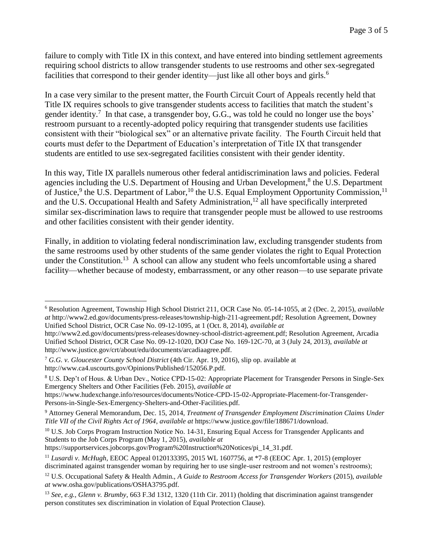failure to comply with Title IX in this context, and have entered into binding settlement agreements requiring school districts to allow transgender students to use restrooms and other sex-segregated facilities that correspond to their gender identity—just like all other boys and girls.<sup>6</sup>

In a case very similar to the present matter, the Fourth Circuit Court of Appeals recently held that Title IX requires schools to give transgender students access to facilities that match the student's gender identity.<sup>7</sup> In that case, a transgender boy, G.G., was told he could no longer use the boys' restroom pursuant to a recently-adopted policy requiring that transgender students use facilities consistent with their "biological sex" or an alternative private facility. The Fourth Circuit held that courts must defer to the Department of Education's interpretation of Title IX that transgender students are entitled to use sex-segregated facilities consistent with their gender identity.

In this way, Title IX parallels numerous other federal antidiscrimination laws and policies. Federal agencies including the U.S. Department of Housing and Urban Development,<sup>8</sup> the U.S. Department of Justice,<sup>9</sup> the U.S. Department of Labor,<sup>10</sup> the U.S. Equal Employment Opportunity Commission,<sup>11</sup> and the U.S. Occupational Health and Safety Administration,<sup>12</sup> all have specifically interpreted similar sex-discrimination laws to require that transgender people must be allowed to use restrooms and other facilities consistent with their gender identity.

Finally, in addition to violating federal nondiscrimination law, excluding transgender students from the same restrooms used by other students of the same gender violates the right to Equal Protection under the Constitution.<sup>13</sup> A school can allow any student who feels uncomfortable using a shared facility—whether because of modesty, embarrassment, or any other reason—to use separate private

<u>.</u>

https://supportservices.jobcorps.gov/Program%20Instruction%20Notices/pi\_14\_31.pdf.

<sup>6</sup> Resolution Agreement, Township High School District 211, OCR Case No. 05-14-1055, at 2 (Dec. 2, 2015), *available at* http://www2.ed.gov/documents/press-releases/township-high-211-agreement.pdf*;* Resolution Agreement, Downey Unified School District, OCR Case No. 09-12-1095, at 1 (Oct. 8, 2014), *available at* 

http://www2.ed.gov/documents/press-releases/downey-school-district-agreement.pdf; Resolution Agreement, Arcadia Unified School District, OCR Case No. 09-12-1020, DOJ Case No. 169-12C-70, at 3 (July 24, 2013), *available at*  http://www.justice.gov/crt/about/edu/documents/arcadiaagree.pdf.

<sup>7</sup> *G.G. v. Gloucester County School District* (4th Cir. Apr. 19, 2016), slip op. available at http://www.ca4.uscourts.gov/Opinions/Published/152056.P.pdf.

<sup>8</sup> U.S. Dep't of Hous. & Urban Dev., Notice CPD-15-02: Appropriate Placement for Transgender Persons in Single-Sex Emergency Shelters and Other Facilities (Feb. 2015), *available at* 

https://www.hudexchange.info/resources/documents/Notice-CPD-15-02-Appropriate-Placement-for-Transgender-Persons-in-Single-Sex-Emergency-Shelters-and-Other-Facilities.pdf.

<sup>9</sup> Attorney General Memorandum, Dec. 15, 2014, *Treatment of Transgender Employment Discrimination Claims Under Title VII of the Civil Rights Act of 1964*, *available at* https://www.justice.gov/file/188671/download.

<sup>&</sup>lt;sup>10</sup> U.S. Job Corps Program Instruction Notice No. 14-31, Ensuring Equal Access for Transgender Applicants and Students to the Job Corps Program (May 1, 2015), *available at* 

<sup>11</sup> *Lusardi v. McHugh*, EEOC Appeal 0120133395, 2015 WL 1607756, at \*7-8 (EEOC Apr. 1, 2015) (employer discriminated against transgender woman by requiring her to use single-user restroom and not women's restrooms);

<sup>12</sup> U.S. Occupational Safety & Health Admin., *A Guide to Restroom Access for Transgender Workers* (2015), *available at* www.osha.gov/publications/OSHA3795.pdf.

<sup>13</sup> *See, e.g., Glenn v. Brumby*, 663 F.3d 1312, 1320 (11th Cir. 2011) (holding that discrimination against transgender person constitutes sex discrimination in violation of Equal Protection Clause).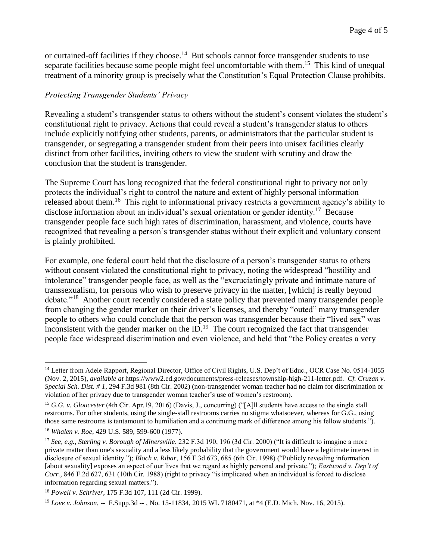or curtained-off facilities if they choose.<sup>14</sup> But schools cannot force transgender students to use separate facilities because some people might feel uncomfortable with them.<sup>15</sup> This kind of unequal treatment of a minority group is precisely what the Constitution's Equal Protection Clause prohibits.

## *Protecting Transgender Students' Privacy*

Revealing a student's transgender status to others without the student's consent violates the student's constitutional right to privacy. Actions that could reveal a student's transgender status to others include explicitly notifying other students, parents, or administrators that the particular student is transgender, or segregating a transgender student from their peers into unisex facilities clearly distinct from other facilities, inviting others to view the student with scrutiny and draw the conclusion that the student is transgender.

The Supreme Court has long recognized that the federal constitutional right to privacy not only protects the individual's right to control the nature and extent of highly personal information released about them.<sup>16</sup> This right to informational privacy restricts a government agency's ability to disclose information about an individual's sexual orientation or gender identity.<sup>17</sup> Because transgender people face such high rates of discrimination, harassment, and violence, courts have recognized that revealing a person's transgender status without their explicit and voluntary consent is plainly prohibited.

For example, one federal court held that the disclosure of a person's transgender status to others without consent violated the constitutional right to privacy, noting the widespread "hostility and intolerance" transgender people face, as well as the "excruciatingly private and intimate nature of transsexualism, for persons who wish to preserve privacy in the matter, [which] is really beyond debate."<sup>18</sup> Another court recently considered a state policy that prevented many transgender people from changing the gender marker on their driver's licenses, and thereby "outed" many transgender people to others who could conclude that the person was transgender because their "lived sex" was inconsistent with the gender marker on the  $ID.^{19}$ . The court recognized the fact that transgender people face widespread discrimination and even violence, and held that "the Policy creates a very

1

<sup>&</sup>lt;sup>14</sup> Letter from Adele Rapport, Regional Director, Office of Civil Rights, U.S. Dep't of Educ., OCR Case No. 0514-1055 (Nov. 2, 2015), *available at* https://www2.ed.gov/documents/press-releases/township-high-211-letter.pdf. *Cf. Cruzan v. Special Sch. Dist. # 1*, 294 F.3d 981 (8th Cir. 2002) (non-transgender woman teacher had no claim for discrimination or violation of her privacy due to transgender woman teacher's use of women's restroom).

<sup>15</sup> *G.G. v. Gloucester* (4th Cir. Apr.19, 2016) (Davis, J., concurring) ("[A]ll students have access to the single stall restrooms. For other students, using the single-stall restrooms carries no stigma whatsoever, whereas for G.G., using those same restrooms is tantamount to humiliation and a continuing mark of difference among his fellow students."). <sup>16</sup> *Whalen v. Roe*, 429 U.S. 589, 599-600 (1977).

<sup>17</sup> *See, e.g.*, *Sterling v. Borough of Minersville*, 232 F.3d 190, 196 (3d Cir. 2000) ("It is difficult to imagine a more private matter than one's sexuality and a less likely probability that the government would have a legitimate interest in disclosure of sexual identity."); *Bloch v. Ribar*, 156 F.3d 673, 685 (6th Cir. 1998) ("Publicly revealing information [about sexuality] exposes an aspect of our lives that we regard as highly personal and private."); *Eastwood v. Dep't of Corr.,* 846 F.2d 627, 631 (10th Cir. 1988) (right to privacy "is implicated when an individual is forced to disclose information regarding sexual matters.").

<sup>18</sup> *Powell v. Schriver,* 175 F.3d 107, 111 (2d Cir. 1999).

<sup>19</sup> *Love v. Johnson*, -- F.Supp.3d -- , No. 15-11834, 2015 WL 7180471, at \*4 (E.D. Mich. Nov. 16, 2015).